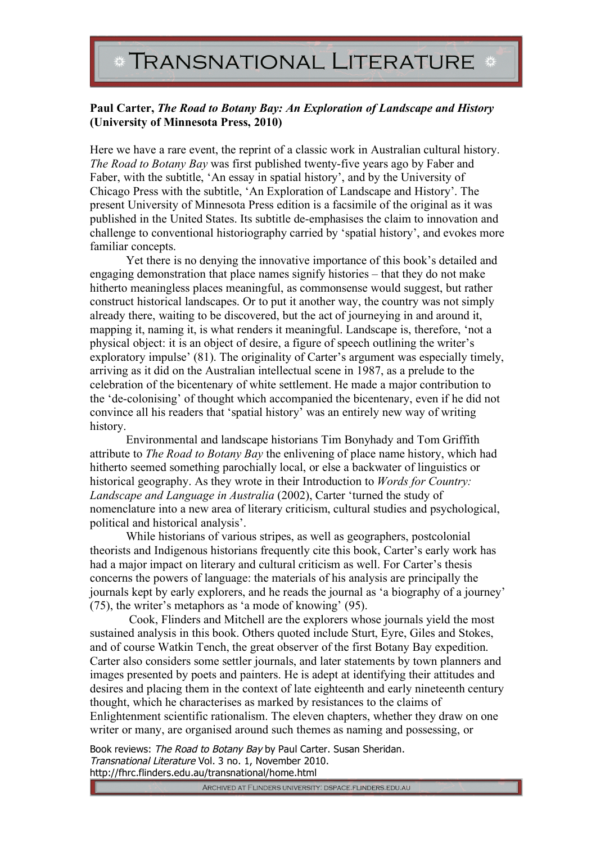## **Paul Carter,** *The Road to Botany Bay: An Exploration of Landscape and History*  **(University of Minnesota Press, 2010)**

Here we have a rare event, the reprint of a classic work in Australian cultural history. *The Road to Botany Bay* was first published twenty-five years ago by Faber and Faber, with the subtitle, 'An essay in spatial history', and by the University of Chicago Press with the subtitle, 'An Exploration of Landscape and History'. The present University of Minnesota Press edition is a facsimile of the original as it was published in the United States. Its subtitle de-emphasises the claim to innovation and challenge to conventional historiography carried by 'spatial history', and evokes more familiar concepts.

Yet there is no denying the innovative importance of this book's detailed and engaging demonstration that place names signify histories – that they do not make hitherto meaningless places meaningful, as commonsense would suggest, but rather construct historical landscapes. Or to put it another way, the country was not simply already there, waiting to be discovered, but the act of journeying in and around it, mapping it, naming it, is what renders it meaningful. Landscape is, therefore, 'not a physical object: it is an object of desire, a figure of speech outlining the writer's exploratory impulse' (81). The originality of Carter's argument was especially timely, arriving as it did on the Australian intellectual scene in 1987, as a prelude to the celebration of the bicentenary of white settlement. He made a major contribution to the 'de-colonising' of thought which accompanied the bicentenary, even if he did not convince all his readers that 'spatial history' was an entirely new way of writing history.

Environmental and landscape historians Tim Bonyhady and Tom Griffith attribute to *The Road to Botany Bay* the enlivening of place name history, which had hitherto seemed something parochially local, or else a backwater of linguistics or historical geography. As they wrote in their Introduction to *Words for Country: Landscape and Language in Australia* (2002), Carter 'turned the study of nomenclature into a new area of literary criticism, cultural studies and psychological, political and historical analysis'.

While historians of various stripes, as well as geographers, postcolonial theorists and Indigenous historians frequently cite this book, Carter's early work has had a major impact on literary and cultural criticism as well. For Carter's thesis concerns the powers of language: the materials of his analysis are principally the journals kept by early explorers, and he reads the journal as 'a biography of a journey' (75), the writer's metaphors as 'a mode of knowing' (95).

 Cook, Flinders and Mitchell are the explorers whose journals yield the most sustained analysis in this book. Others quoted include Sturt, Eyre, Giles and Stokes, and of course Watkin Tench, the great observer of the first Botany Bay expedition. Carter also considers some settler journals, and later statements by town planners and images presented by poets and painters. He is adept at identifying their attitudes and desires and placing them in the context of late eighteenth and early nineteenth century thought, which he characterises as marked by resistances to the claims of Enlightenment scientific rationalism. The eleven chapters, whether they draw on one writer or many, are organised around such themes as naming and possessing, or

Book reviews: The Road to Botany Bay by Paul Carter. Susan Sheridan. Transnational Literature Vol. 3 no. 1, November 2010. http://fhrc.flinders.edu.au/transnational/home.html

ARCHIVED AT FLINDERS UNIVERSITY: DSPACE.FLINDERS.EDU.AU